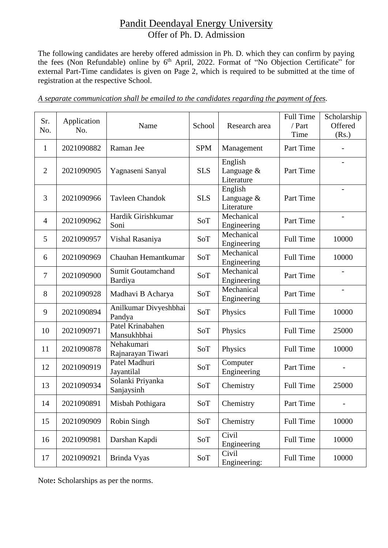## Pandit Deendayal Energy University Offer of Ph. D. Admission

The following candidates are hereby offered admission in Ph. D. which they can confirm by paying the fees (Non Refundable) online by 6th April, 2022. Format of "No Objection Certificate" for external Part-Time candidates is given on Page 2, which is required to be submitted at the time of registration at the respective School.

|  |  |  |  | A separate communication shall be emailed to the candidates regarding the payment of fees. |  |  |  |
|--|--|--|--|--------------------------------------------------------------------------------------------|--|--|--|
|  |  |  |  |                                                                                            |  |  |  |

| Sr.<br>No.     | Application<br>No. | Name                                | School     | Research area                       | <b>Full Time</b><br>/ Part<br>Time | Scholarship<br>Offered<br>(Rs.) |
|----------------|--------------------|-------------------------------------|------------|-------------------------------------|------------------------------------|---------------------------------|
| $\mathbf{1}$   | 2021090882         | Raman Jee                           | <b>SPM</b> | Management                          | Part Time                          |                                 |
| $\overline{2}$ | 2021090905         | Yagnaseni Sanyal                    | <b>SLS</b> | English<br>Language &<br>Literature | Part Time                          | $\overline{\phantom{0}}$        |
| 3              | 2021090966         | <b>Tavleen Chandok</b>              | <b>SLS</b> | English<br>Language &<br>Literature | Part Time                          | $\overline{\phantom{a}}$        |
| $\overline{4}$ | 2021090962         | Hardik Girishkumar<br>Soni          | SoT        | Mechanical<br>Engineering           | Part Time                          | $\overline{\phantom{a}}$        |
| 5              | 2021090957         | Vishal Rasaniya                     | SoT        | Mechanical<br>Engineering           | <b>Full Time</b>                   | 10000                           |
| 6              | 2021090969         | Chauhan Hemantkumar                 | SoT        | Mechanical<br>Engineering           | <b>Full Time</b>                   | 10000                           |
| 7              | 2021090900         | <b>Sumit Goutamchand</b><br>Bardiya | SoT        | Mechanical<br>Engineering           | Part Time                          |                                 |
| 8              | 2021090928         | Madhavi B Acharya                   | SoT        | Mechanical<br>Engineering           | Part Time                          | $\overline{\phantom{0}}$        |
| 9              | 2021090894         | Anilkumar Divyeshbhai<br>Pandya     | SoT        | Physics                             | <b>Full Time</b>                   | 10000                           |
| 10             | 2021090971         | Patel Krinabahen<br>Mansukhbhai     | SoT        | Physics                             | <b>Full Time</b>                   | 25000                           |
| 11             | 2021090878         | Nehakumari<br>Rajnarayan Tiwari     | SoT        | Physics                             | <b>Full Time</b>                   | 10000                           |
| 12             | 2021090919         | Patel Madhuri<br>Jayantilal         | SoT        | Computer<br>Engineering             | Part Time                          |                                 |
| 13             | 2021090934         | Solanki Priyanka<br>Sanjaysinh      | SoT        | Chemistry                           | <b>Full Time</b>                   | 25000                           |
| 14             | 2021090891         | Misbah Pothigara                    | SoT        | Chemistry                           | Part Time                          |                                 |
| 15             | 2021090909         | Robin Singh                         | SoT        | Chemistry                           | <b>Full Time</b>                   | 10000                           |
| 16             | 2021090981         | Darshan Kapdi                       | SoT        | Civil<br>Engineering                | <b>Full Time</b>                   | 10000                           |
| 17             | 2021090921         | Brinda Vyas                         | SoT        | Civil<br>Engineering:               | <b>Full Time</b>                   | 10000                           |

Note**:** Scholarships as per the norms.